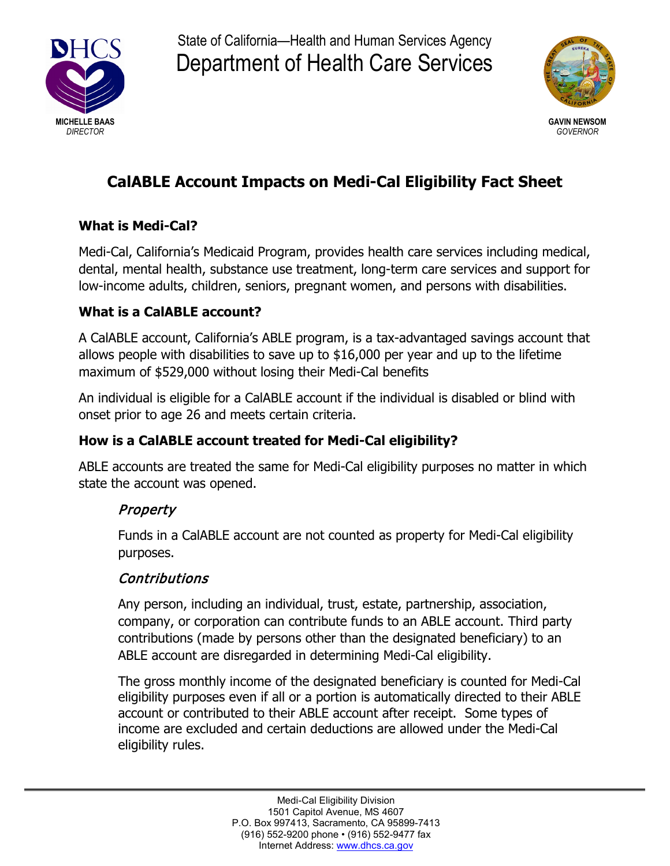

State of California—Health and Human Services Agency Department of Health Care Services



# **CalABLE Account Impacts on Medi-Cal Eligibility Fact Sheet**

### **What is Medi-Cal?**

Medi-Cal, California's Medicaid Program, provides health care services including medical, dental, mental health, substance use treatment, long-term care services and support for low-income adults, children, seniors, pregnant women, and persons with disabilities.

#### **What is a CalABLE account?**

A CalABLE account, California's ABLE program, is a tax-advantaged savings account that allows people with disabilities to save up to \$16,000 per year and up to the lifetime maximum of \$529,000 without losing their Medi-Cal benefits

An individual is eligible for a CalABLE account if the individual is disabled or blind with onset prior to age 26 and meets certain criteria.

#### **How is a CalABLE account treated for Medi-Cal eligibility?**

ABLE accounts are treated the same for Medi-Cal eligibility purposes no matter in which state the account was opened.

## Property

Funds in a CalABLE account are not counted as property for Medi-Cal eligibility purposes.

#### **Contributions**

Any person, including an individual, trust, estate, partnership, association, company, or corporation can contribute funds to an ABLE account. Third party contributions (made by persons other than the designated beneficiary) to an ABLE account are disregarded in determining Medi-Cal eligibility.

The gross monthly income of the designated beneficiary is counted for Medi-Cal eligibility purposes even if all or a portion is automatically directed to their ABLE account or contributed to their ABLE account after receipt. Some types of income are excluded and certain deductions are allowed under the Medi-Cal eligibility rules.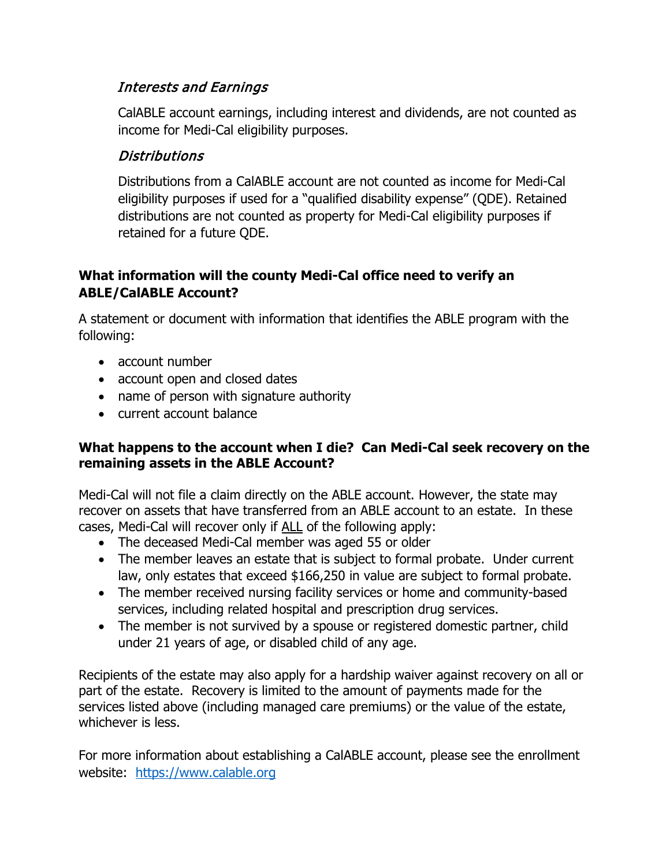## Interests and Earnings

CalABLE account earnings, including interest and dividends, are not counted as income for Medi-Cal eligibility purposes.

## Distributions

Distributions from a CalABLE account are not counted as income for Medi-Cal eligibility purposes if used for a "qualified disability expense" (QDE). Retained distributions are not counted as property for Medi-Cal eligibility purposes if retained for a future QDE.

#### **What information will the county Medi-Cal office need to verify an ABLE/CalABLE Account?**

A statement or document with information that identifies the ABLE program with the following:

- account number
- account open and closed dates
- name of person with signature authority
- current account balance

#### **What happens to the account when I die? Can Medi-Cal seek recovery on the remaining assets in the ABLE Account?**

Medi-Cal will not file a claim directly on the ABLE account. However, the state may recover on assets that have transferred from an ABLE account to an estate. In these cases, Medi-Cal will recover only if ALL of the following apply:

- The deceased Medi-Cal member was aged 55 or older
- The member leaves an estate that is subject to formal probate. Under current law, only estates that exceed \$166,250 in value are subject to formal probate.
- The member received nursing facility services or home and community-based services, including related hospital and prescription drug services.
- The member is not survived by a spouse or registered domestic partner, child under 21 years of age, or disabled child of any age.

Recipients of the estate may also apply for a hardship waiver against recovery on all or part of the estate. Recovery is limited to the amount of payments made for the services listed above (including managed care premiums) or the value of the estate, whichever is less.

For more information about establishing a CalABLE account, please see the enrollment website: [https://www.calable.org](https://www.calable.org/)